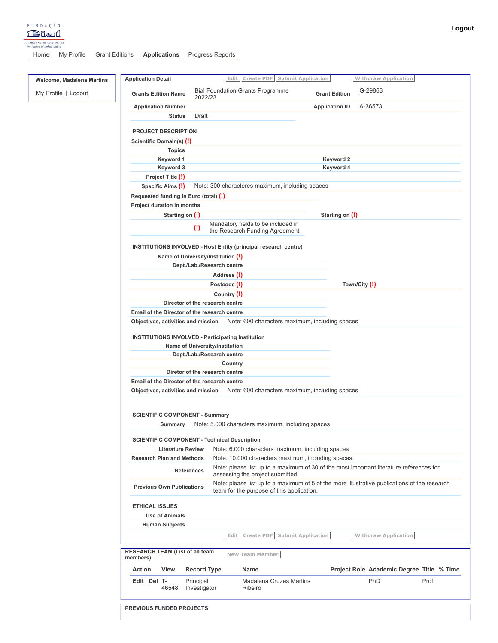

[Home](https://bialfoundation.secure.force.com/home/home.jsp) My [Profile](https://bialfoundation.secure.force.com/servlet/servlet.Integration?lid=01rb00000000o1E&ic=1&linkToken=VmpFPSxNakF5TWkwd05DMHdORlF3TURvd056bzBOaTQyTUROYSxkYVNRN1ZUT0tLZ2JoOEpfOGtNNF9jLFlXWmtNR0po) Grant [Editions](https://bialfoundation.secure.force.com/a00/o) **[Applications](https://bialfoundation.secure.force.com/a01/o)** [Progress](https://bialfoundation.secure.force.com/a0J/o) Reports

| <b>Welcome, Madalena Martins</b> | Create PDF<br><b>Submit Application</b><br><b>Application Detail</b><br>Edit                            | <b>Withdraw Application</b>                                                                  |
|----------------------------------|---------------------------------------------------------------------------------------------------------|----------------------------------------------------------------------------------------------|
| My Profile   Logout              | <b>Bial Foundation Grants Programme</b><br><b>Grants Edition Name</b><br>2022/23                        | G-29863<br><b>Grant Edition</b>                                                              |
|                                  | <b>Application Number</b>                                                                               | A-36573<br><b>Application ID</b>                                                             |
|                                  | <b>Status</b><br>Draft                                                                                  |                                                                                              |
|                                  | <b>PROJECT DESCRIPTION</b>                                                                              |                                                                                              |
|                                  |                                                                                                         |                                                                                              |
|                                  | Scientific Domain(s) (!)                                                                                |                                                                                              |
|                                  | <b>Topics</b>                                                                                           |                                                                                              |
|                                  | Keyword 1                                                                                               | Keyword 2                                                                                    |
|                                  | Keyword 3                                                                                               | Keyword 4                                                                                    |
|                                  | Project Title (!)                                                                                       |                                                                                              |
|                                  | Note: 300 characteres maximum, including spaces<br>Specific Aims (!)                                    |                                                                                              |
|                                  | Requested funding in Euro (total) (!)                                                                   |                                                                                              |
|                                  | Project duration in months                                                                              |                                                                                              |
|                                  | Starting on (!)                                                                                         | Starting on (!)                                                                              |
|                                  | Mandatory fields to be included in<br>$\left( \mathbf{l} \right)$<br>the Research Funding Agreement     |                                                                                              |
|                                  | <b>INSTITUTIONS INVOLVED - Host Entity (principal research centre)</b>                                  |                                                                                              |
|                                  | Name of University/Institution (!)                                                                      |                                                                                              |
|                                  | Dept./Lab./Research centre                                                                              |                                                                                              |
|                                  | Address (!)                                                                                             |                                                                                              |
|                                  | Postcode (!)                                                                                            | Town/City (!)                                                                                |
|                                  | Country (!)                                                                                             |                                                                                              |
|                                  | Director of the research centre                                                                         |                                                                                              |
|                                  | Email of the Director of the research centre                                                            |                                                                                              |
|                                  | Note: 600 characters maximum, including spaces<br>Objectives, activities and mission                    |                                                                                              |
|                                  | <b>INSTITUTIONS INVOLVED - Participating Institution</b><br>Name of University/Institution              |                                                                                              |
|                                  | Dept./Lab./Research centre                                                                              |                                                                                              |
|                                  | Country                                                                                                 |                                                                                              |
|                                  | Diretor of the research centre                                                                          |                                                                                              |
|                                  | Email of the Director of the research centre                                                            |                                                                                              |
|                                  | Objectives, activities and mission Note: 600 characters maximum, including spaces                       |                                                                                              |
|                                  |                                                                                                         |                                                                                              |
|                                  | <b>SCIENTIFIC COMPONENT - Summary</b>                                                                   |                                                                                              |
|                                  | Note: 5.000 characters maximum, including spaces<br>Summary                                             |                                                                                              |
|                                  | <b>SCIENTIFIC COMPONENT - Technical Description</b>                                                     |                                                                                              |
|                                  | Note: 6.000 characters maximum, including spaces<br><b>Literature Review</b>                            |                                                                                              |
|                                  | Note: 10.000 characters maximum, including spaces.<br><b>Research Plan and Methods</b>                  |                                                                                              |
|                                  | <b>References</b><br>assessing the project submitted.                                                   | Note: please list up to a maximum of 30 of the most important literature references for      |
|                                  | <b>Previous Own Publications</b><br>team for the purpose of this application.                           | Note: please list up to a maximum of 5 of the more illustrative publications of the research |
|                                  | <b>ETHICAL ISSUES</b>                                                                                   |                                                                                              |
|                                  | <b>Use of Animals</b>                                                                                   |                                                                                              |
|                                  | <b>Human Subjects</b>                                                                                   |                                                                                              |
|                                  | Create PDF<br><b>Submit Application</b><br>Edit                                                         | <b>Withdraw Application</b>                                                                  |
|                                  | <b>RESEARCH TEAM (List of all team</b><br><b>New Team Member</b><br>members)                            |                                                                                              |
|                                  | <b>Record Type</b><br><b>Action</b><br>View<br>Name                                                     | Project Role Academic Degree Title % Time                                                    |
|                                  | <b>Madalena Cruzes Martins</b><br>Edit   Del T-<br>Principal<br>Investigator<br>Ribeiro<br><u>46548</u> | PhD<br>Prof.                                                                                 |
|                                  | <b>PREVIOUS FUNDED PROJECTS</b>                                                                         |                                                                                              |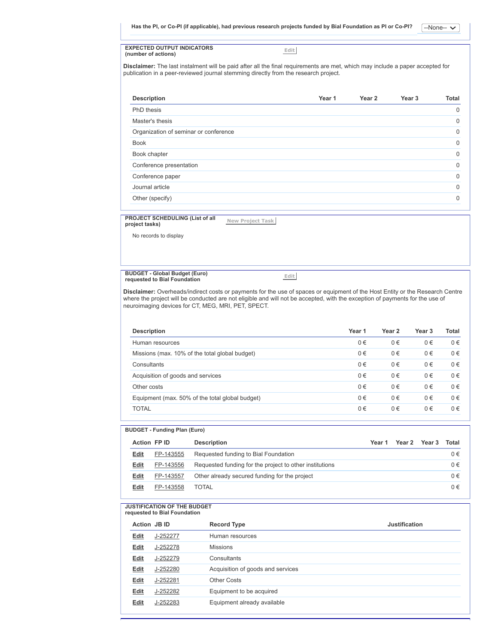$-None-<sub>-</sub>$ Has the PI, or Co-PI (if applicable), had previous research projects funded by Bial Foundation as PI or Co-PI?

**EXPECTED OUTPUT INDICATORS (number of actions)**

**Edit**

**Disclaimer:** The last instalment will be paid after all the final requirements are met, which may include a paper accepted for publication in a peer-reviewed journal stemming directly from the research project.

| <b>Description</b>                    | Year 1 | Year 2 | Year <sub>3</sub> | Total       |
|---------------------------------------|--------|--------|-------------------|-------------|
| PhD thesis                            |        |        |                   | $\mathbf 0$ |
| Master's thesis                       |        |        |                   | $\Omega$    |
| Organization of seminar or conference |        |        |                   | $\Omega$    |
| <b>Book</b>                           |        |        |                   | $\Omega$    |
| Book chapter                          |        |        |                   | $\Omega$    |
| Conference presentation               |        |        |                   | $\Omega$    |
| Conference paper                      |        |        |                   | $\Omega$    |
| Journal article                       |        |        |                   | $\Omega$    |
| Other (specify)                       |        |        |                   | $\Omega$    |
|                                       |        |        |                   |             |

**PROJECT SCHEDULING (List of all project tasks)**

**New Project Task**

No records to display

**BUDGET - Global Budget (Euro) requested to Bial Foundation**

**Edit**

**Disclaimer:** Overheads/indirect costs or payments for the use of spaces or equipment of the Host Entity or the Research Centre where the project will be conducted are not eligible and will not be accepted, with the exception of payments for the use of neuroimaging devices for CT, MEG, MRI, PET, SPECT.

| <b>Description</b>                              | Year 1  | Year <sub>2</sub> | Year <sub>3</sub> | Total   |
|-------------------------------------------------|---------|-------------------|-------------------|---------|
| Human resources                                 | 0€      | $0 \in$           | $0 \in$           | $0 \in$ |
| Missions (max. 10% of the total global budget)  | 0€      | $0 \in$           | $0 \in$           | $0 \in$ |
| Consultants                                     | $0 \in$ | $0 \in$           | $0 \in$           | $0 \in$ |
| Acquisition of goods and services               | $0 \in$ | $0 \in$           | $0 \in$           | $0 \in$ |
| Other costs                                     | 0€      | $0 \in$           | $0 \in$           | $0 \in$ |
| Equipment (max. 50% of the total global budget) | $0 \in$ | $0 \in$           | $0 \in$           | $0 \in$ |
| <b>TOTAL</b>                                    | 0€      | $0 \in$           | $0 \in$           | $0 \in$ |
|                                                 |         |                   |                   |         |

## **BUDGET - Funding Plan (Euro)**

|      | <b>Action FPID</b> | <b>Description</b>                                      | Year 1 | Year 2 | Year 3 | Total   |
|------|--------------------|---------------------------------------------------------|--------|--------|--------|---------|
| Edit | FP-143555          | Requested funding to Bial Foundation                    |        |        |        | $0 \in$ |
| Edit | FP-143556          | Requested funding for the project to other institutions |        |        |        | $0 \in$ |
| Edit | FP-143557          | Other already secured funding for the project           |        |        |        | $0 \in$ |
| Edit | FP-143558          | TOTAL                                                   |        |        |        | $0 \in$ |

#### **JUSTIFICATION OF THE BUDGET requested to Bial Foundation**

|             | <b>Action JBID</b> | <b>Record Type</b>                | Justification |
|-------------|--------------------|-----------------------------------|---------------|
| Edit        | J-252277           | Human resources                   |               |
| <b>Edit</b> | J-252278           | <b>Missions</b>                   |               |
| Edit        | J-252279           | Consultants                       |               |
| <b>Edit</b> | J-252280           | Acquisition of goods and services |               |
| Edit        | J-252281           | <b>Other Costs</b>                |               |
| Edit        | J-252282           | Equipment to be acquired          |               |
| <b>Edit</b> | J-252283           | Equipment already available       |               |